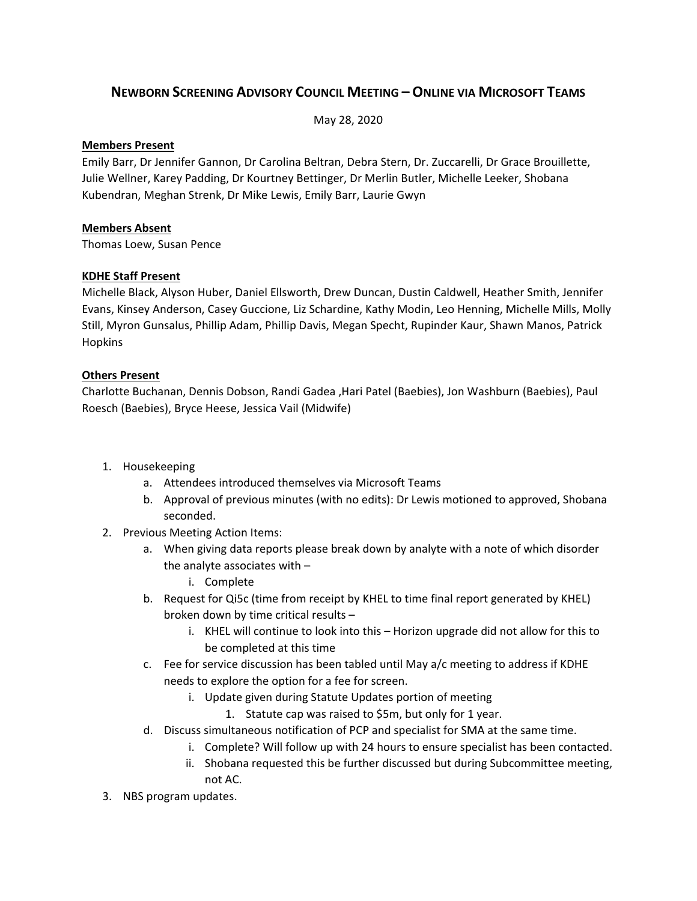# **NEWBORN SCREENING ADVISORY COUNCIL MEETING – ONLINE VIA MICROSOFT TEAMS**

May 28, 2020

#### **Members Present**

Emily Barr, Dr Jennifer Gannon, Dr Carolina Beltran, Debra Stern, Dr. Zuccarelli, Dr Grace Brouillette, Julie Wellner, Karey Padding, Dr Kourtney Bettinger, Dr Merlin Butler, Michelle Leeker, Shobana Kubendran, Meghan Strenk, Dr Mike Lewis, Emily Barr, Laurie Gwyn

### **Members Absent**

Thomas Loew, Susan Pence

## **KDHE Staff Present**

Michelle Black, Alyson Huber, Daniel Ellsworth, Drew Duncan, Dustin Caldwell, Heather Smith, Jennifer Evans, Kinsey Anderson, Casey Guccione, Liz Schardine, Kathy Modin, Leo Henning, Michelle Mills, Molly Still, Myron Gunsalus, Phillip Adam, Phillip Davis, Megan Specht, Rupinder Kaur, Shawn Manos, Patrick Hopkins

### **Others Present**

Charlotte Buchanan, Dennis Dobson, Randi Gadea ,Hari Patel (Baebies), Jon Washburn (Baebies), Paul Roesch (Baebies), Bryce Heese, Jessica Vail (Midwife)

- 1. Housekeeping
	- a. Attendees introduced themselves via Microsoft Teams
	- b. Approval of previous minutes (with no edits): Dr Lewis motioned to approved, Shobana seconded.
- 2. Previous Meeting Action Items:
	- a. When giving data reports please break down by analyte with a note of which disorder the analyte associates with –
		- i. Complete
	- b. Request for Qi5c (time from receipt by KHEL to time final report generated by KHEL) broken down by time critical results –
		- i. KHEL will continue to look into this Horizon upgrade did not allow for this to be completed at this time
	- c. Fee for service discussion has been tabled until May  $a/c$  meeting to address if KDHE needs to explore the option for a fee for screen.
		- i. Update given during Statute Updates portion of meeting
			- 1. Statute cap was raised to \$5m, but only for 1 year.
	- d. Discuss simultaneous notification of PCP and specialist for SMA at the same time.
		- i. Complete? Will follow up with 24 hours to ensure specialist has been contacted.
		- ii. Shobana requested this be further discussed but during Subcommittee meeting, not AC.
- 3. NBS program updates.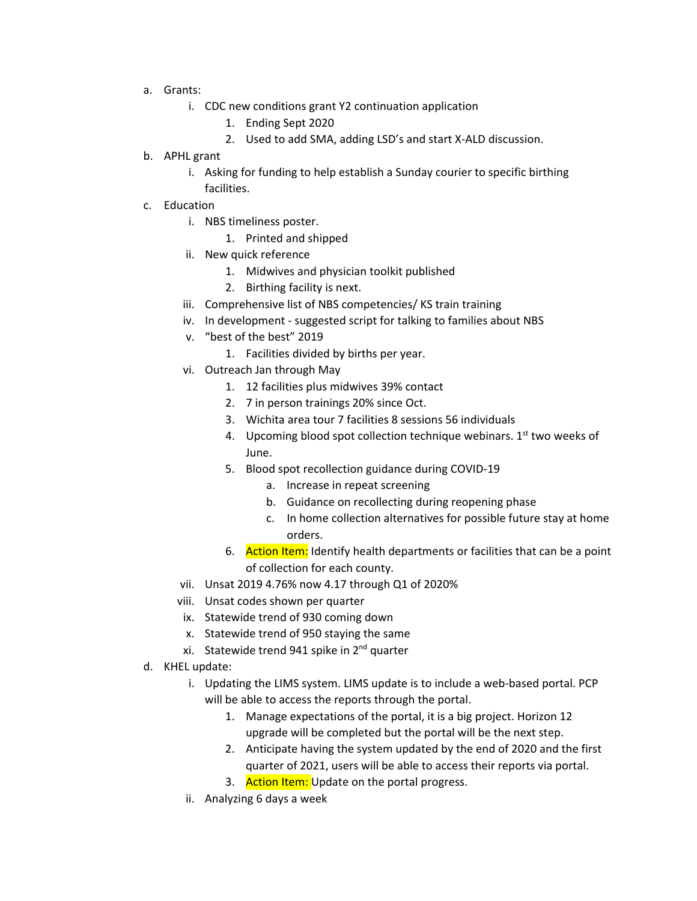- a. Grants:
	- i. CDC new conditions grant Y2 continuation application
		- 1. Ending Sept 2020
		- 2. Used to add SMA, adding LSD's and start X-ALD discussion.
- b. APHL grant
	- i. Asking for funding to help establish a Sunday courier to specific birthing facilities.
- c. Education
	- i. NBS timeliness poster.
		- 1. Printed and shipped
	- ii. New quick reference
		- 1. Midwives and physician toolkit published
		- 2. Birthing facility is next.
	- iii. Comprehensive list of NBS competencies/ KS train training
	- iv. In development suggested script for talking to families about NBS
	- v. "best of the best" 2019
		- 1. Facilities divided by births per year.
	- vi. Outreach Jan through May
		- 1. 12 facilities plus midwives 39% contact
		- 2. 7 in person trainings 20% since Oct.
		- 3. Wichita area tour 7 facilities 8 sessions 56 individuals
		- 4. Upcoming blood spot collection technique webinars.  $1<sup>st</sup>$  two weeks of June.
		- 5. Blood spot recollection guidance during COVID-19
			- a. Increase in repeat screening
			- b. Guidance on recollecting during reopening phase
			- c. In home collection alternatives for possible future stay at home orders.
		- 6. Action Item: Identify health departments or facilities that can be a point of collection for each county.
	- vii. Unsat 2019 4.76% now 4.17 through Q1 of 2020%
	- viii. Unsat codes shown per quarter
	- ix. Statewide trend of 930 coming down
	- x. Statewide trend of 950 staying the same
	- xi. Statewide trend 941 spike in 2<sup>nd</sup> quarter
- d. KHEL update:
	- i. Updating the LIMS system. LIMS update is to include a web-based portal. PCP will be able to access the reports through the portal.
		- 1. Manage expectations of the portal, it is a big project. Horizon 12 upgrade will be completed but the portal will be the next step.
		- 2. Anticipate having the system updated by the end of 2020 and the first quarter of 2021, users will be able to access their reports via portal.
		- 3. Action Item: Update on the portal progress.
	- ii. Analyzing 6 days a week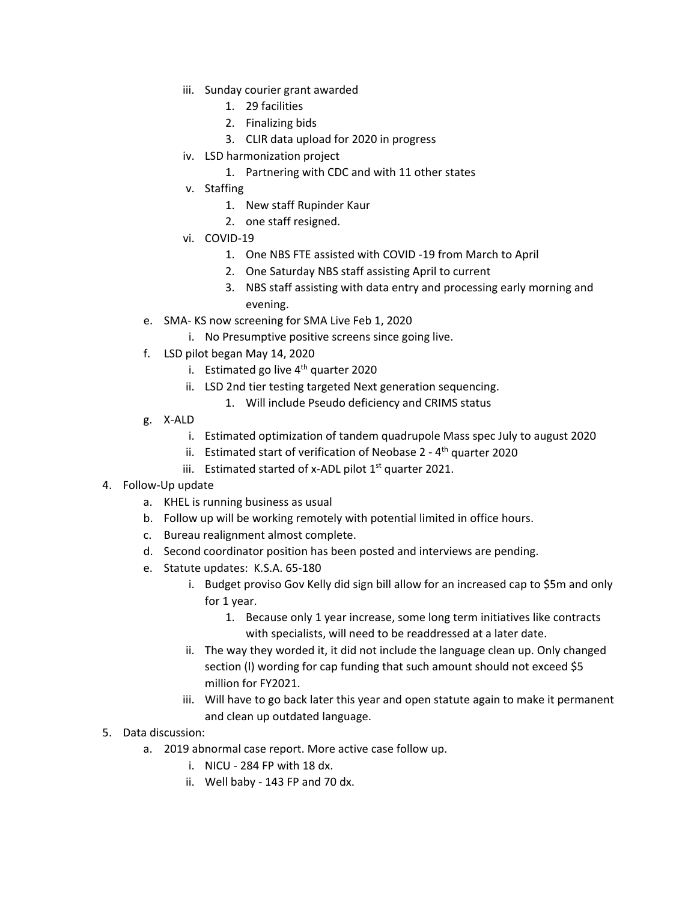- iii. Sunday courier grant awarded
	- 1. 29 facilities
	- 2. Finalizing bids
	- 3. CLIR data upload for 2020 in progress
- iv. LSD harmonization project
	- 1. Partnering with CDC and with 11 other states
- v. Staffing
	- 1. New staff Rupinder Kaur
	- 2. one staff resigned.
- vi. COVID-19
	- 1. One NBS FTE assisted with COVID -19 from March to April
	- 2. One Saturday NBS staff assisting April to current
	- 3. NBS staff assisting with data entry and processing early morning and evening.
- e. SMA- KS now screening for SMA Live Feb 1, 2020
	- i. No Presumptive positive screens since going live.
- f. LSD pilot began May 14, 2020
	- i. Estimated go live  $4<sup>th</sup>$  quarter 2020
	- ii. LSD 2nd tier testing targeted Next generation sequencing.
		- 1. Will include Pseudo deficiency and CRIMS status
- g. X-ALD
	- i. Estimated optimization of tandem quadrupole Mass spec July to august 2020
	- ii. Estimated start of verification of Neobase  $2 4$ <sup>th</sup> quarter 2020
	- iii. Estimated started of x-ADL pilot  $1<sup>st</sup>$  quarter 2021.
- 4. Follow-Up update
	- a. KHEL is running business as usual
	- b. Follow up will be working remotely with potential limited in office hours.
	- c. Bureau realignment almost complete.
	- d. Second coordinator position has been posted and interviews are pending.
	- e. Statute updates: K.S.A. 65-180
		- i. Budget proviso Gov Kelly did sign bill allow for an increased cap to \$5m and only for 1 year.
			- 1. Because only 1 year increase, some long term initiatives like contracts with specialists, will need to be readdressed at a later date.
		- ii. The way they worded it, it did not include the language clean up. Only changed section (l) wording for cap funding that such amount should not exceed \$5 million for FY2021.
		- iii. Will have to go back later this year and open statute again to make it permanent and clean up outdated language.
- 5. Data discussion:
	- a. 2019 abnormal case report. More active case follow up.
		- i. NICU 284 FP with 18 dx.
		- ii. Well baby 143 FP and 70 dx.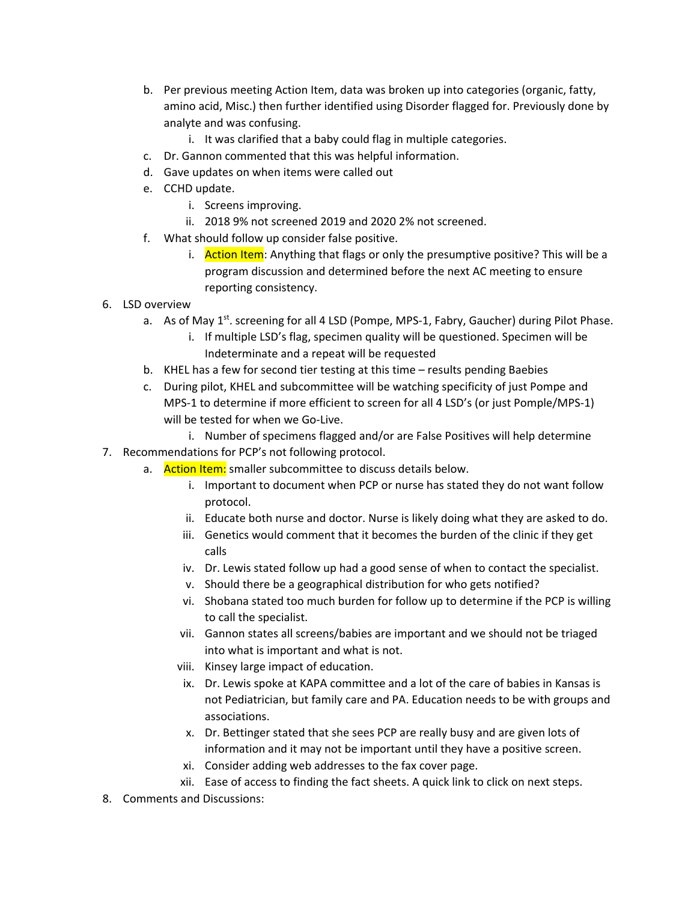- b. Per previous meeting Action Item, data was broken up into categories (organic, fatty, amino acid, Misc.) then further identified using Disorder flagged for. Previously done by analyte and was confusing.
	- i. It was clarified that a baby could flag in multiple categories.
- c. Dr. Gannon commented that this was helpful information.
- d. Gave updates on when items were called out
- e. CCHD update.
	- i. Screens improving.
	- ii. 2018 9% not screened 2019 and 2020 2% not screened.
- f. What should follow up consider false positive.
	- i. **Action Item**: Anything that flags or only the presumptive positive? This will be a program discussion and determined before the next AC meeting to ensure reporting consistency.
- 6. LSD overview
	- a. As of May 1<sup>st</sup>, screening for all 4 LSD (Pompe, MPS-1, Fabry, Gaucher) during Pilot Phase.
		- i. If multiple LSD's flag, specimen quality will be questioned. Specimen will be Indeterminate and a repeat will be requested
	- b. KHEL has a few for second tier testing at this time results pending Baebies
	- c. During pilot, KHEL and subcommittee will be watching specificity of just Pompe and MPS-1 to determine if more efficient to screen for all 4 LSD's (or just Pomple/MPS-1) will be tested for when we Go-Live.
		- i. Number of specimens flagged and/or are False Positives will help determine
- 7. Recommendations for PCP's not following protocol.
	- a. Action Item: smaller subcommittee to discuss details below.
		- i. Important to document when PCP or nurse has stated they do not want follow protocol.
		- ii. Educate both nurse and doctor. Nurse is likely doing what they are asked to do.
		- iii. Genetics would comment that it becomes the burden of the clinic if they get calls
		- iv. Dr. Lewis stated follow up had a good sense of when to contact the specialist.
		- v. Should there be a geographical distribution for who gets notified?
		- vi. Shobana stated too much burden for follow up to determine if the PCP is willing to call the specialist.
		- vii. Gannon states all screens/babies are important and we should not be triaged into what is important and what is not.
		- viii. Kinsey large impact of education.
		- ix. Dr. Lewis spoke at KAPA committee and a lot of the care of babies in Kansas is not Pediatrician, but family care and PA. Education needs to be with groups and associations.
		- x. Dr. Bettinger stated that she sees PCP are really busy and are given lots of information and it may not be important until they have a positive screen.
		- xi. Consider adding web addresses to the fax cover page.
		- xii. Ease of access to finding the fact sheets. A quick link to click on next steps.
- 8. Comments and Discussions: